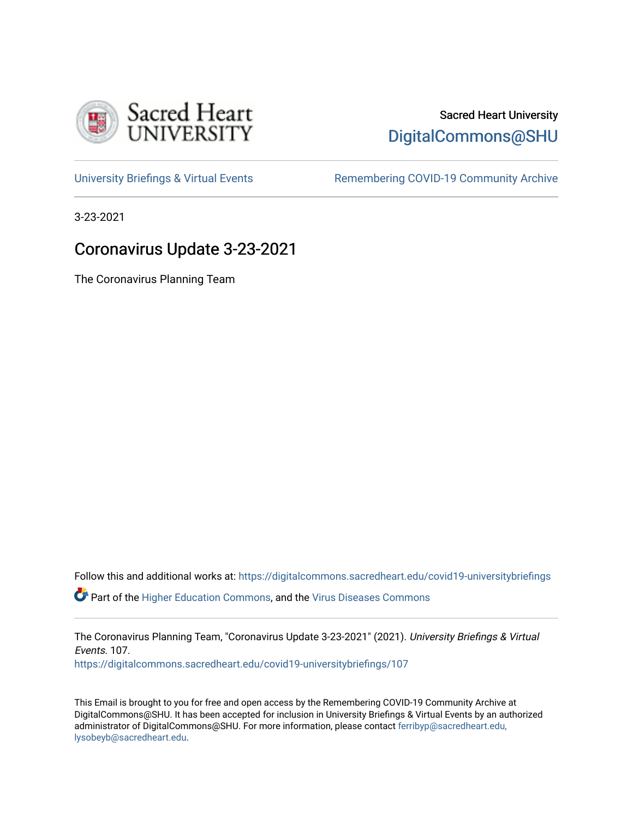

# Sacred Heart University [DigitalCommons@SHU](https://digitalcommons.sacredheart.edu/)

[University Briefings & Virtual Events](https://digitalcommons.sacredheart.edu/covid19-universitybriefings) **Remembering COVID-19 Community Archive** 

3-23-2021

## Coronavirus Update 3-23-2021

The Coronavirus Planning Team

Follow this and additional works at: [https://digitalcommons.sacredheart.edu/covid19-universitybriefings](https://digitalcommons.sacredheart.edu/covid19-universitybriefings?utm_source=digitalcommons.sacredheart.edu%2Fcovid19-universitybriefings%2F107&utm_medium=PDF&utm_campaign=PDFCoverPages)

Part of the [Higher Education Commons,](http://network.bepress.com/hgg/discipline/1245?utm_source=digitalcommons.sacredheart.edu%2Fcovid19-universitybriefings%2F107&utm_medium=PDF&utm_campaign=PDFCoverPages) and the [Virus Diseases Commons](http://network.bepress.com/hgg/discipline/998?utm_source=digitalcommons.sacredheart.edu%2Fcovid19-universitybriefings%2F107&utm_medium=PDF&utm_campaign=PDFCoverPages)

The Coronavirus Planning Team, "Coronavirus Update 3-23-2021" (2021). University Briefings & Virtual Events. 107.

[https://digitalcommons.sacredheart.edu/covid19-universitybriefings/107](https://digitalcommons.sacredheart.edu/covid19-universitybriefings/107?utm_source=digitalcommons.sacredheart.edu%2Fcovid19-universitybriefings%2F107&utm_medium=PDF&utm_campaign=PDFCoverPages)

This Email is brought to you for free and open access by the Remembering COVID-19 Community Archive at DigitalCommons@SHU. It has been accepted for inclusion in University Briefings & Virtual Events by an authorized administrator of DigitalCommons@SHU. For more information, please contact [ferribyp@sacredheart.edu,](mailto:ferribyp@sacredheart.edu,%20lysobeyb@sacredheart.edu) [lysobeyb@sacredheart.edu](mailto:ferribyp@sacredheart.edu,%20lysobeyb@sacredheart.edu).